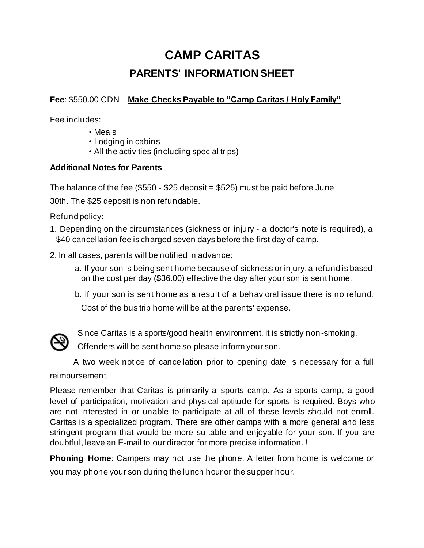# **CAMP CARITAS PARENTS' INFORMATION SHEET**

**Fee**: \$550.00 CDN – **Make Checks Payable to "Camp Caritas / Holy Family"**

Fee includes:

- Meals
- Lodging in cabins
- All the activities (including special trips)

# **Additional Notes for Parents**

The balance of the fee  $(\$550 - \$25$  deposit =  $\$525$ ) must be paid before June

30th. The \$25 deposit is non refundable.

Refund policy:

- 1. Depending on the circumstances (sickness or injury a doctor's note is required), a \$40 cancellation fee is charged seven days before the first day of camp.
- 2. In all cases, parents will be notified in advance:
	- a. If your son is being sent home because of sickness or injury, a refund is based on the cost per day (\$36.00) effective the day after your son is sent home.
	- b. If your son is sent home as a result of a behavioral issue there is no refund. Cost of the bus trip home will be at the parents' expense.



Since Caritas is a sports/good health environment, it is strictly non-smoking.

Offenders will be sent home so please inform your son.

A two week notice of cancellation prior to opening date is necessary for a full

reimbursement.

Please remember that Caritas is primarily a sports camp. As a sports camp, a good level of participation, motivation and physical aptitude for sports is required. Boys who are not interested in or unable to participate at all of these levels should not enroll. Caritas is a specialized program. There are other camps with a more general and less stringent program that would be more suitable and enjoyable for your son. If you are doubtful, leave an E-mail to our director for more precise information. !

**Phoning Home**: Campers may not use the phone. A letter from home is welcome or you may phone your son during the lunch hour or the supper hour.